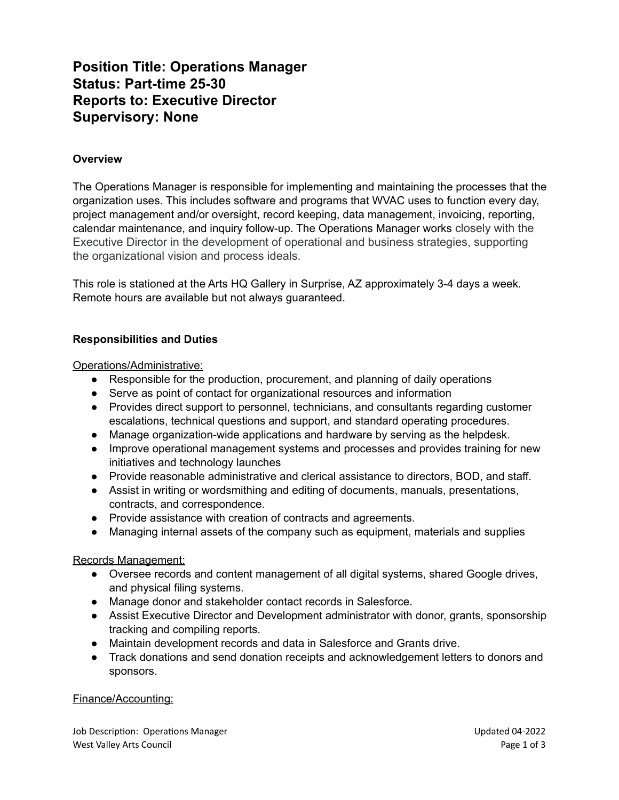# **Position Title: Operations Manager Status: Part-time 25-30 Reports to: Executive Director Supervisory: None**

### **Overview**

The Operations Manager is responsible for implementing and maintaining the processes that the organization uses. This includes software and programs that WVAC uses to function every day, project management and/or oversight, record keeping, data management, invoicing, reporting, calendar maintenance, and inquiry follow-up. The Operations Manager works closely with the Executive Director in the development of operational and business strategies, supporting the organizational vision and process ideals.

This role is stationed at the Arts HQ Gallery in Surprise, AZ approximately 3-4 days a week. Remote hours are available but not always guaranteed.

### **Responsibilities and Duties**

Operations/Administrative:

- Responsible for the production, procurement, and planning of daily operations
- Serve as point of contact for organizational resources and information
- Provides direct support to personnel, technicians, and consultants regarding customer escalations, technical questions and support, and standard operating procedures.
- Manage organization-wide applications and hardware by serving as the helpdesk.
- Improve operational management systems and processes and provides training for new initiatives and technology launches
- Provide reasonable administrative and clerical assistance to directors, BOD, and staff.
- Assist in writing or wordsmithing and editing of documents, manuals, presentations, contracts, and correspondence.
- Provide assistance with creation of contracts and agreements.
- Managing internal assets of the company such as equipment, materials and supplies

#### Records Management:

- Oversee records and content management of all digital systems, shared Google drives, and physical filing systems.
- Manage donor and stakeholder contact records in Salesforce.
- Assist Executive Director and Development administrator with donor, grants, sponsorship tracking and compiling reports.
- Maintain development records and data in Salesforce and Grants drive.
- Track donations and send donation receipts and acknowledgement letters to donors and sponsors.

#### Finance/Accounting:

Job Description: Operations Manager Updated 04-2022 West Valley Arts Council and the control of 3 and 200 minutes of 3 and 200 minutes of 3 and 200 minutes of 3 and 200 minutes of 3 and 200 minutes of 3 and 200 minutes of 3 and 200 minutes of 3 and 200 minutes of 3 and 200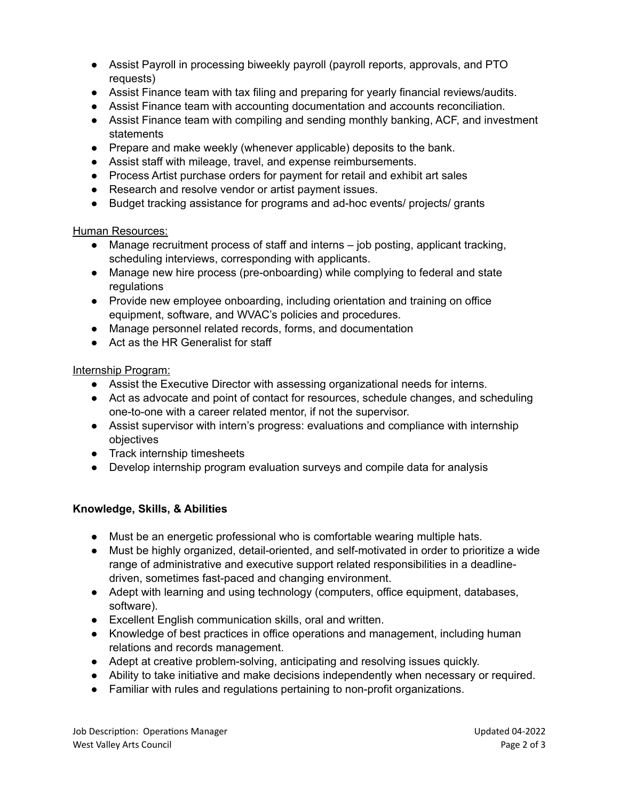- Assist Payroll in processing biweekly payroll (payroll reports, approvals, and PTO requests)
- Assist Finance team with tax filing and preparing for yearly financial reviews/audits.
- Assist Finance team with accounting documentation and accounts reconciliation.
- Assist Finance team with compiling and sending monthly banking, ACF, and investment statements
- Prepare and make weekly (whenever applicable) deposits to the bank.
- Assist staff with mileage, travel, and expense reimbursements.
- Process Artist purchase orders for payment for retail and exhibit art sales
- Research and resolve vendor or artist payment issues.
- Budget tracking assistance for programs and ad-hoc events/ projects/ grants

# Human Resources:

- Manage recruitment process of staff and interns job posting, applicant tracking, scheduling interviews, corresponding with applicants.
- Manage new hire process (pre-onboarding) while complying to federal and state regulations
- Provide new employee onboarding, including orientation and training on office equipment, software, and WVAC's policies and procedures.
- Manage personnel related records, forms, and documentation
- Act as the HR Generalist for staff

# Internship Program:

- Assist the Executive Director with assessing organizational needs for interns.
- Act as advocate and point of contact for resources, schedule changes, and scheduling one-to-one with a career related mentor, if not the supervisor.
- Assist supervisor with intern's progress: evaluations and compliance with internship objectives
- Track internship timesheets
- Develop internship program evaluation surveys and compile data for analysis

# **Knowledge, Skills, & Abilities**

- Must be an energetic professional who is comfortable wearing multiple hats.
- Must be highly organized, detail-oriented, and self-motivated in order to prioritize a wide range of administrative and executive support related responsibilities in a deadlinedriven, sometimes fast-paced and changing environment.
- Adept with learning and using technology (computers, office equipment, databases, software).
- Excellent English communication skills, oral and written.
- Knowledge of best practices in office operations and management, including human relations and records management.
- Adept at creative problem-solving, anticipating and resolving issues quickly.
- Ability to take initiative and make decisions independently when necessary or required.
- Familiar with rules and regulations pertaining to non-profit organizations.